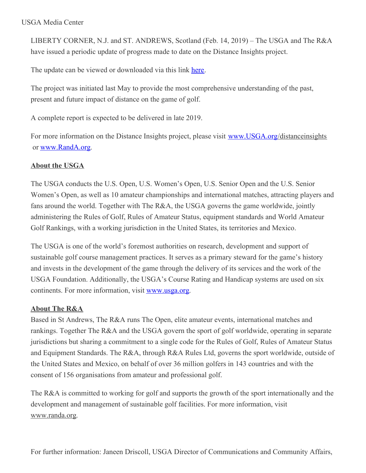LIBERTY CORNER, N.J. and ST. ANDREWS, Scotland (Feb. 14, 2019) – The USGA and The R&A have issued a periodic update of progress made to date on the Distance Insights project.

The update can be viewed or downloaded via this link [here](http://www.usga.org/content/dam/usga/pdf/driving-distance/Q12019_DistanceInsightsProgressUpdateff.pdf).

The project was initiated last May to provide the most comprehensive understanding of the past, present and future impact of distance on the game of golf.

A complete report is expected to be delivered in late 2019.

For more information on the Distance Insights project, please visit [www.USGA.org](http://www.usga.org/)/distanceinsights or [www.RandA.org](http://www.randa.org/).

## **About the USGA**

The USGA conducts the U.S. Open, U.S. Women's Open, U.S. Senior Open and the U.S. Senior Women's Open, as well as 10 amateur championships and international matches, attracting players and fans around the world. Together with The R&A, the USGA governs the game worldwide, jointly administering the Rules of Golf, Rules of Amateur Status, equipment standards and World Amateur Golf Rankings, with a working jurisdiction in the United States, its territories and Mexico.

The USGA is one of the world's foremost authorities on research, development and support of sustainable golf course management practices. It serves as a primary steward for the game's history and invests in the development of the game through the delivery of its services and the work of the USGA Foundation. Additionally, the USGA's Course Rating and Handicap systems are used on six continents. For more information, visit [www.usga.org](https://emea01.safelinks.protection.outlook.com/?url=http%3A%2F%2Ftracking.randa.org%2Ftracking%2Fclick%3Fd%3DALoek6lHWqXJ9xoFvd9YE4fVZVP60OEJs_dQ77IRh4F0WdRUkZwzH-J6guo5udI2z1mTYbz9fxp7VOk6qQOef413CmhfLN8T3MqhFq3iZAYSHScvBzLgmYTp34snd9wGjUSID3Pc8h5lm-FmjaAQGUw0sjuI4gQH2WeYzkLlIe5OHk4EOJzsZ7e3Uo5LJPsuyJFURsfDtJwsvr-Hlh0mI_-wXe5WIeKeVXmzEug7CAW6CtWtwuu44OdAy-WV8-vdLXeD18uuDHL6Vuah7PAk-sPHQAfnYFGJRPBlTMwN6XOpxQHoc5Yxlry5_jto9U18fqcmL_Y4GWC52dTOnbeYtEsMDfaBUdrY9IvB9-hoPnZmpMJSC5OSBGq5LjR1iinPnWot4KB9PxUsqCxaxONj2iFvouBDGFlolADpw3dgUVD06kzlsXQn1UzzFgBotLl7t5yWKJZP40Mhg7poX9cMFgmDTMivkKfUFdCxMcI3WJdXX_dJiGCWOiaA5MrjEmvZm5EhVb5hLBaaaDzhWQVpcVY90CDhVGHWn2CdO9nTTt7XopRNhp_RCy9bthZVXDwAqgbBHHIN-r5IRBGDXzXaefsh_XR2adWlsx03hFZ_rWN1xVX4s6SD0NTC3vevJIBh6g2&data=02%7C01%7Cmikewoodcock%40randa.org%7C13346ec66f7b4b63663a08d618afb891%7C93ca5df0d6e647abafeae396686cc7fe%7C0%7C0%7C636723540322546559&sdata=vvAgXeDps5gSRUdIhoF1fSrmaYehe%2Bpi%2BrhXUP98%2FTo%3D&reserved=0).

## **About The R&A**

Based in St Andrews, The R&A runs The Open, elite amateur events, international matches and rankings. Together The R&A and the USGA govern the sport of golf worldwide, operating in separate jurisdictions but sharing a commitment to a single code for the Rules of Golf, Rules of Amateur Status and Equipment Standards. The R&A, through R&A Rules Ltd, governs the sport worldwide, outside of the United States and Mexico, on behalf of over 36 million golfers in 143 countries and with the consent of 156 organisations from amateur and professional golf.

The R&A is committed to working for golf and supports the growth of the sport internationally and the development and management of sustainable golf facilities. For more information, visit www.randa.org.